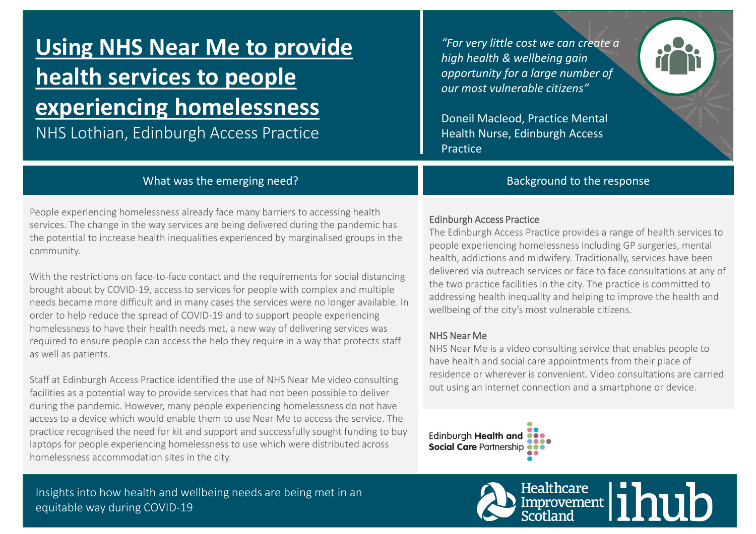# **Using NHS Near Me to provide health services to people experiencing homelessness**

NHS Lothian, Edinburgh Access Practice

*"For very little cost we can create a high health & wellbeing gain opportunity for a large number of our most vulnerable citizens"* 

Doneil Macleod, Practice Mental Health Nurse, Edinburgh Access Practice

# What was the emerging need?

People experiencing homelessness already face many barriers to accessing health services. The change in the way services are being delivered during the pandemic has the potential to increase health inequalities experienced by marginalised groups in the community.

With the restrictions on face-to-face contact and the requirements for social distancing brought about by COVID-19, access to services for people with complex and multiple needs became more difficult and in many cases the services were no longer available. In order to help reduce the spread of COVID-19 and to support people experiencing homelessness to have their health needs met, a new way of delivering services was required to ensure people can access the help they require in a way that protects staff as well as patients.

Staff at Edinburgh Access Practice identified the use of NHS Near Me video consulting facilities as a potential way to provide services that had not been possible to deliver during the pandemic. However, many people experiencing homelessness do not have access to a device which would enable them to use Near Me to access the service. The practice recognised the need for kit and support and successfully sought funding to buy laptops for people experiencing homelessness to use which were distributed across homelessness accommodation sites in the city.

Insights into how health and wellbeing needs are being met in an equitable way during COVID-19

# Edinburgh Access Practice

The Edinburgh Access Practice provides a range of health services to people experiencing homelessness including GP surgeries, mental health, addictions and midwifery. Traditionally, services have been delivered via outreach services or face to face consultations at any of the two practice facilities in the city. The practice is committed to addressing health inequality and helping to improve the health and wellbeing of the city's most vulnerable citizens.

Background to the response

## NHS Near Me

NHS Near Me is a video consulting service that enables people to have health and social care appointments from their place of residence or wherever is convenient. Video consultations are carried out using an internet connection and a smartphone or device.